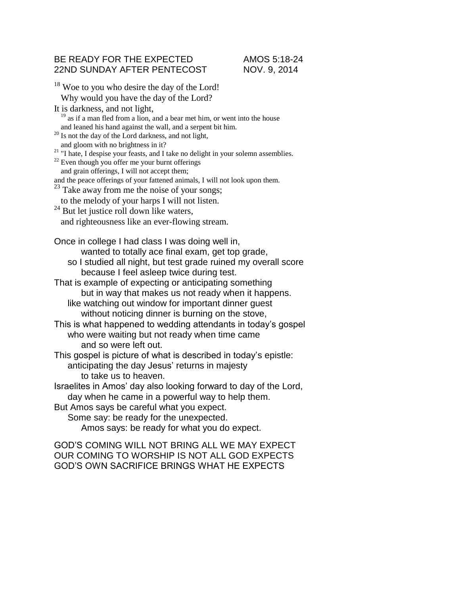## BE READY FOR THE EXPECTED AMOS 5:18-24 22ND SUNDAY AFTER PENTECOST NOV. 9, 2014

<sup>18</sup> Woe to you who desire the day of the Lord! Why would you have the day of the Lord? It is darkness, and not light,  $19$  as if a man fled from a lion, and a bear met him, or went into the house and leaned his hand against the wall, and a serpent bit him. <sup>20</sup> Is not the day of the Lord darkness, and not light, and gloom with no brightness in it? <sup>21</sup> "I hate, I despise your feasts, and I take no delight in your solemn assemblies.  $^{22}$  Even though you offer me your burnt offerings and grain offerings, I will not accept them; and the peace offerings of your fattened animals, I will not look upon them.  $^{23}$  Take away from me the noise of your songs; to the melody of your harps I will not listen.  $24$  But let justice roll down like waters, and righteousness like an ever-flowing stream. Once in college I had class I was doing well in, wanted to totally ace final exam, get top grade, so I studied all night, but test grade ruined my overall score because I feel asleep twice during test. That is example of expecting or anticipating something but in way that makes us not ready when it happens. like watching out window for important dinner guest without noticing dinner is burning on the stove, This is what happened to wedding attendants in today's gospel who were waiting but not ready when time came and so were left out. This gospel is picture of what is described in today's epistle: anticipating the day Jesus' returns in majesty to take us to heaven. Israelites in Amos' day also looking forward to day of the Lord, day when he came in a powerful way to help them. But Amos says be careful what you expect. Some say: be ready for the unexpected. Amos says: be ready for what you do expect. GOD'S COMING WILL NOT BRING ALL WE MAY EXPECT

OUR COMING TO WORSHIP IS NOT ALL GOD EXPECTS GOD'S OWN SACRIFICE BRINGS WHAT HE EXPECTS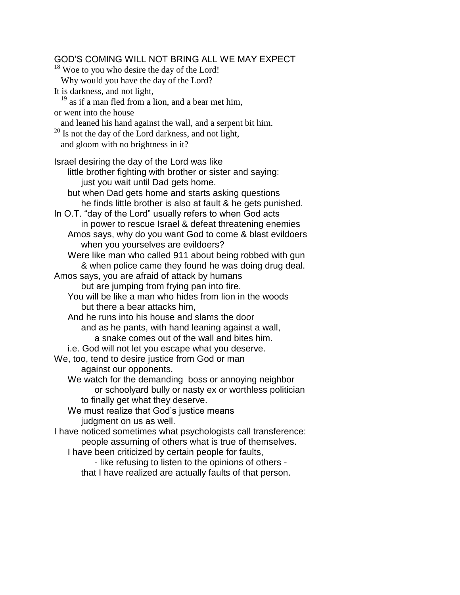GOD'S COMING WILL NOT BRING ALL WE MAY EXPECT  $18$  Woe to you who desire the day of the Lord! Why would you have the day of the Lord? It is darkness, and not light,  $19$  as if a man fled from a lion, and a bear met him, or went into the house and leaned his hand against the wall, and a serpent bit him.  $20$  Is not the day of the Lord darkness, and not light, and gloom with no brightness in it? Israel desiring the day of the Lord was like little brother fighting with brother or sister and saying: just you wait until Dad gets home. but when Dad gets home and starts asking questions he finds little brother is also at fault & he gets punished. In O.T. "day of the Lord" usually refers to when God acts in power to rescue Israel & defeat threatening enemies Amos says, why do you want God to come & blast evildoers when you yourselves are evildoers? Were like man who called 911 about being robbed with gun & when police came they found he was doing drug deal. Amos says, you are afraid of attack by humans but are jumping from frying pan into fire. You will be like a man who hides from lion in the woods but there a bear attacks him, And he runs into his house and slams the door and as he pants, with hand leaning against a wall, a snake comes out of the wall and bites him. i.e. God will not let you escape what you deserve. We, too, tend to desire justice from God or man against our opponents. We watch for the demanding boss or annoying neighbor or schoolyard bully or nasty ex or worthless politician to finally get what they deserve. We must realize that God's justice means judgment on us as well. I have noticed sometimes what psychologists call transference: people assuming of others what is true of themselves. I have been criticized by certain people for faults, - like refusing to listen to the opinions of others that I have realized are actually faults of that person.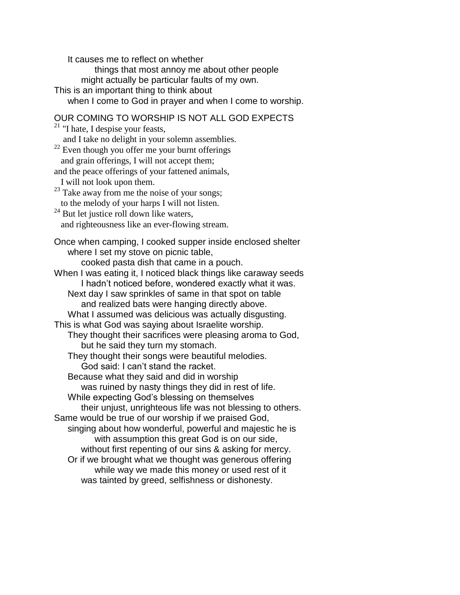It causes me to reflect on whether things that most annoy me about other people might actually be particular faults of my own. This is an important thing to think about when I come to God in prayer and when I come to worship. OUR COMING TO WORSHIP IS NOT ALL GOD EXPECTS  $21$  "I hate, I despise your feasts, and I take no delight in your solemn assemblies.  $22$  Even though you offer me your burnt offerings and grain offerings, I will not accept them; and the peace offerings of your fattened animals, I will not look upon them.  $23$  Take away from me the noise of your songs; to the melody of your harps I will not listen.  $24$  But let justice roll down like waters, and righteousness like an ever-flowing stream. Once when camping, I cooked supper inside enclosed shelter where I set my stove on picnic table, cooked pasta dish that came in a pouch. When I was eating it, I noticed black things like caraway seeds I hadn't noticed before, wondered exactly what it was. Next day I saw sprinkles of same in that spot on table and realized bats were hanging directly above. What I assumed was delicious was actually disgusting. This is what God was saying about Israelite worship. They thought their sacrifices were pleasing aroma to God, but he said they turn my stomach. They thought their songs were beautiful melodies. God said: I can't stand the racket. Because what they said and did in worship was ruined by nasty things they did in rest of life. While expecting God's blessing on themselves their unjust, unrighteous life was not blessing to others. Same would be true of our worship if we praised God, singing about how wonderful, powerful and majestic he is with assumption this great God is on our side, without first repenting of our sins & asking for mercy. Or if we brought what we thought was generous offering while way we made this money or used rest of it was tainted by greed, selfishness or dishonesty.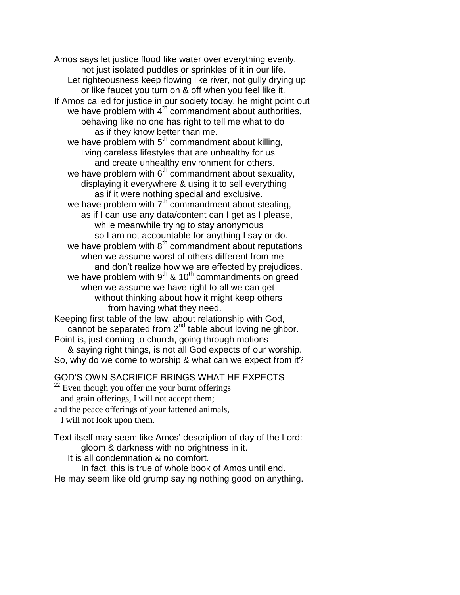Amos says let justice flood like water over everything evenly, not just isolated puddles or sprinkles of it in our life. Let righteousness keep flowing like river, not gully drying up or like faucet you turn on & off when you feel like it. If Amos called for justice in our society today, he might point out we have problem with  $4<sup>th</sup>$  commandment about authorities, behaving like no one has right to tell me what to do as if they know better than me. we have problem with  $5<sup>th</sup>$  commandment about killing, living careless lifestyles that are unhealthy for us and create unhealthy environment for others. we have problem with  $6<sup>th</sup>$  commandment about sexuality, displaying it everywhere & using it to sell everything as if it were nothing special and exclusive. we have problem with  $7<sup>th</sup>$  commandment about stealing, as if I can use any data/content can I get as I please, while meanwhile trying to stay anonymous so I am not accountable for anything I say or do. we have problem with  $8<sup>th</sup>$  commandment about reputations when we assume worst of others different from me and don't realize how we are effected by prejudices. we have problem with  $9^{th}$  & 10<sup>th</sup> commandments on greed when we assume we have right to all we can get without thinking about how it might keep others from having what they need. Keeping first table of the law, about relationship with God, cannot be separated from 2<sup>nd</sup> table about loving neighbor. Point is, just coming to church, going through motions & saying right things, is not all God expects of our worship.

So, why do we come to worship & what can we expect from it?

GOD'S OWN SACRIFICE BRINGS WHAT HE EXPECTS

 $22$  Even though you offer me your burnt offerings and grain offerings, I will not accept them; and the peace offerings of your fattened animals, I will not look upon them.

Text itself may seem like Amos' description of day of the Lord: gloom & darkness with no brightness in it. It is all condemnation & no comfort.

In fact, this is true of whole book of Amos until end. He may seem like old grump saying nothing good on anything.